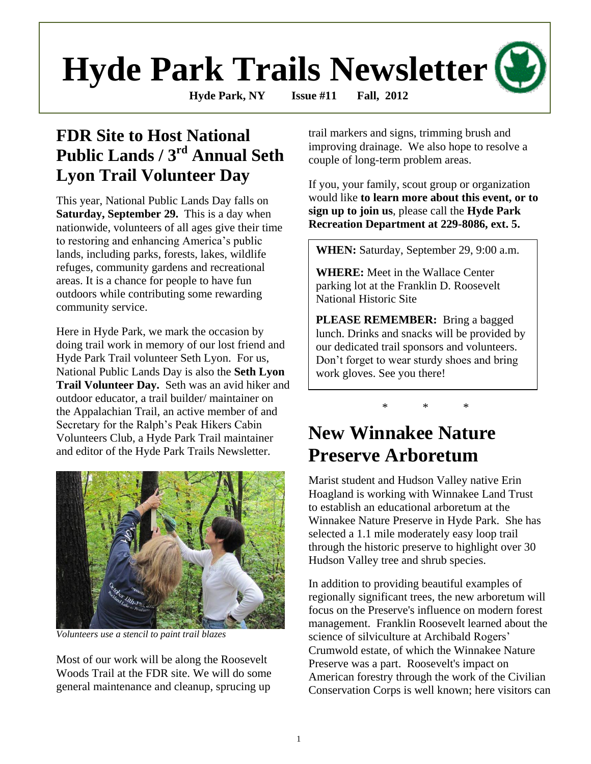# **Hyde Park Trails Newsletter**

**Hyde Park, NY Issue #11 Fall, 2012**

# **FDR Site to Host National Public Lands / 3rd Annual Seth Lyon Trail Volunteer Day**

This year, National Public Lands Day falls on **Saturday, September 29.** This is a day when nationwide, volunteers of all ages give their time to restoring and enhancing America's public lands, including parks, forests, lakes, wildlife refuges, community gardens and recreational areas. It is a chance for people to have fun outdoors while contributing some rewarding community service.

Here in Hyde Park, we mark the occasion by doing trail work in memory of our lost friend and Hyde Park Trail volunteer Seth Lyon. For us, National Public Lands Day is also the **Seth Lyon Trail Volunteer Day.** Seth was an avid hiker and outdoor educator, a trail builder/ maintainer on the Appalachian Trail, an active member of and Secretary for the Ralph's Peak Hikers Cabin Volunteers Club, a Hyde Park Trail maintainer and editor of the Hyde Park Trails Newsletter.



*Volunteers use a stencil to paint trail blazes*

Most of our work will be along the Roosevelt Woods Trail at the FDR site. We will do some general maintenance and cleanup, sprucing up

trail markers and signs, trimming brush and improving drainage. We also hope to resolve a couple of long-term problem areas.

If you, your family, scout group or organization would like **to learn more about this event, or to sign up to join us**, please call the **Hyde Park Recreation Department at 229-8086, ext. 5.**

**WHEN:** Saturday, September 29, 9:00 a.m.

**WHERE:** Meet in the Wallace Center parking lot at the Franklin D. Roosevelt National Historic Site

**PLEASE REMEMBER:** Bring a bagged lunch. Drinks and snacks will be provided by our dedicated trail sponsors and volunteers. Don't forget to wear sturdy shoes and bring work gloves. See you there!

\* \* \*

# **New Winnakee Nature Preserve Arboretum**

Marist student and Hudson Valley native Erin Hoagland is working with Winnakee Land Trust to establish an educational arboretum at the Winnakee Nature Preserve in Hyde Park. She has selected a 1.1 mile moderately easy loop trail through the historic preserve to highlight over 30 Hudson Valley tree and shrub species.

In addition to providing beautiful examples of regionally significant trees, the new arboretum will focus on the Preserve's influence on modern forest management. Franklin Roosevelt learned about the science of silviculture at Archibald Rogers' Crumwold estate, of which the Winnakee Nature Preserve was a part. Roosevelt's impact on American forestry through the work of the Civilian Conservation Corps is well known; here visitors can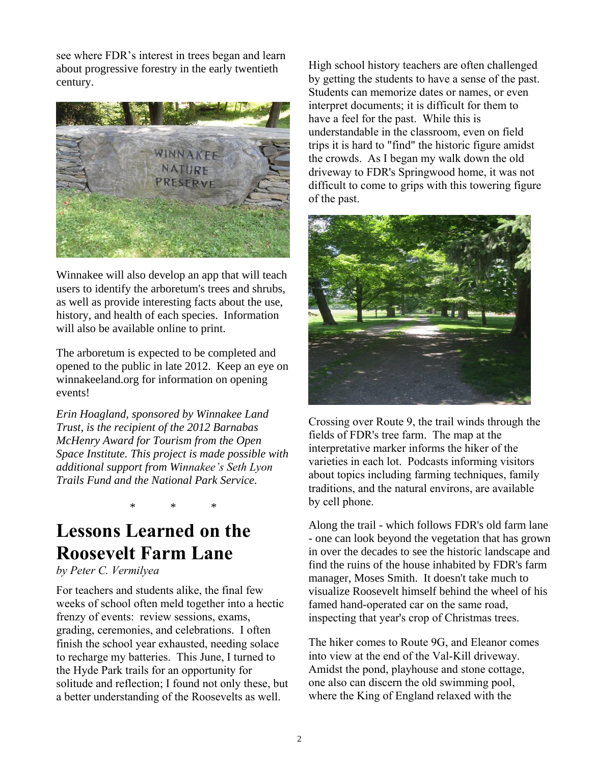see where FDR's interest in trees began and learn about progressive forestry in the early twentieth century.



Winnakee will also develop an app that will teach users to identify the arboretum's trees and shrubs, as well as provide interesting facts about the use, history, and health of each species. Information will also be available online to print.

The arboretum is expected to be completed and opened to the public in late 2012. Keep an eye on winnakeeland.org for information on opening events!

*Erin Hoagland, sponsored by Winnakee Land Trust, is the recipient of the 2012 Barnabas McHenry Award for Tourism from the Open Space Institute. This project is made possible with additional support from Winnakee's Seth Lyon Trails Fund and the National Park Service.* 

\* \* \*

# **Lessons Learned on the Roosevelt Farm Lane**

*by Peter C. Vermilyea*

For teachers and students alike, the final few weeks of school often meld together into a hectic frenzy of events: review sessions, exams, grading, ceremonies, and celebrations. I often finish the school year exhausted, needing solace to recharge my batteries. This June, I turned to the Hyde Park trails for an opportunity for solitude and reflection; I found not only these, but a better understanding of the Roosevelts as well.

High school history teachers are often challenged by getting the students to have a sense of the past. Students can memorize dates or names, or even interpret documents; it is difficult for them to have a feel for the past. While this is understandable in the classroom, even on field trips it is hard to "find" the historic figure amidst the crowds. As I began my walk down the old driveway to FDR's Springwood home, it was not difficult to come to grips with this towering figure of the past.



Crossing over Route 9, the trail winds through the fields of FDR's tree farm. The map at the interpretative marker informs the hiker of the varieties in each lot. Podcasts informing visitors about topics including farming techniques, family traditions, and the natural environs, are available by cell phone.

Along the trail - which follows FDR's old farm lane - one can look beyond the vegetation that has grown in over the decades to see the historic landscape and find the ruins of the house inhabited by FDR's farm manager, Moses Smith. It doesn't take much to visualize Roosevelt himself behind the wheel of his famed hand-operated car on the same road, inspecting that year's crop of Christmas trees.

The hiker comes to Route 9G, and Eleanor comes into view at the end of the Val-Kill driveway. Amidst the pond, playhouse and stone cottage, one also can discern the old swimming pool, where the King of England relaxed with the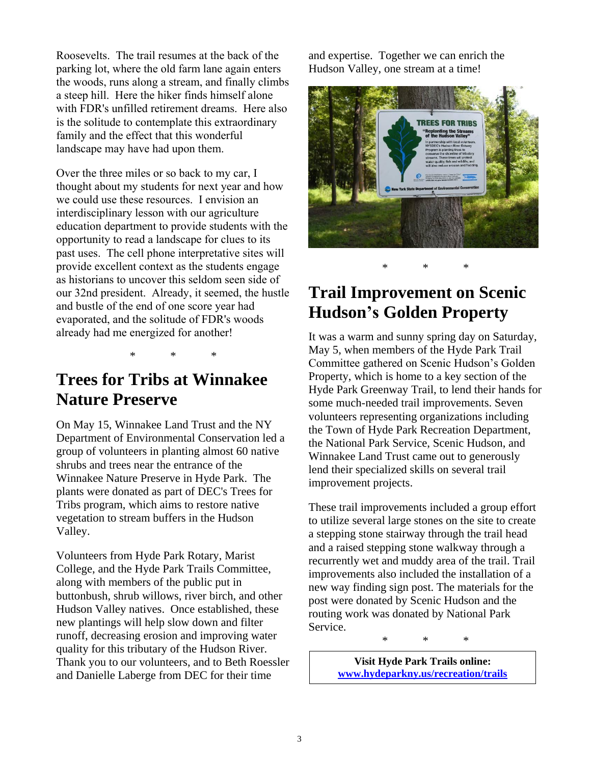Roosevelts. The trail resumes at the back of the parking lot, where the old farm lane again enters the woods, runs along a stream, and finally climbs a steep hill. Here the hiker finds himself alone with FDR's unfilled retirement dreams. Here also is the solitude to contemplate this extraordinary family and the effect that this wonderful landscape may have had upon them.

Over the three miles or so back to my car, I thought about my students for next year and how we could use these resources. I envision an interdisciplinary lesson with our agriculture education department to provide students with the opportunity to read a landscape for clues to its past uses. The cell phone interpretative sites will provide excellent context as the students engage as historians to uncover this seldom seen side of our 32nd president. Already, it seemed, the hustle and bustle of the end of one score year had evaporated, and the solitude of FDR's woods already had me energized for another!

\* \* \*

#### **Trees for Tribs at Winnakee Nature Preserve**

On May 15, Winnakee Land Trust and the NY Department of Environmental Conservation led a group of volunteers in planting almost 60 native shrubs and trees near the entrance of the Winnakee Nature Preserve in Hyde Park. The plants were donated as part of DEC's Trees for Tribs program, which aims to restore native vegetation to stream buffers in the Hudson Valley.

Volunteers from Hyde Park Rotary, Marist College, and the Hyde Park Trails Committee, along with members of the public put in buttonbush, shrub willows, river birch, and other Hudson Valley natives. Once established, these new plantings will help slow down and filter runoff, decreasing erosion and improving water quality for this tributary of the Hudson River. Thank you to our volunteers, and to Beth Roessler and Danielle Laberge from DEC for their time

and expertise. Together we can enrich the Hudson Valley, one stream at a time!



# **Trail Improvement on Scenic Hudson's Golden Property**

It was a warm and sunny spring day on Saturday, May 5, when members of the Hyde Park Trail Committee gathered on Scenic Hudson's Golden Property, which is home to a key section of the Hyde Park Greenway Trail, to lend their hands for some much-needed trail improvements. Seven volunteers representing organizations including the Town of Hyde Park Recreation Department, the National Park Service, Scenic Hudson, and Winnakee Land Trust came out to generously lend their specialized skills on several trail improvement projects.

These trail improvements included a group effort to utilize several large stones on the site to create a stepping stone stairway through the trail head and a raised stepping stone walkway through a recurrently wet and muddy area of the trail. Trail improvements also included the installation of a new way finding sign post. The materials for the post were donated by Scenic Hudson and the routing work was donated by National Park Service.

\* \* \*

**Visit Hyde Park Trails online: [www.hydeparkny.us/recreation/trails](http://www.hydeparkny.us/recreation/trails)**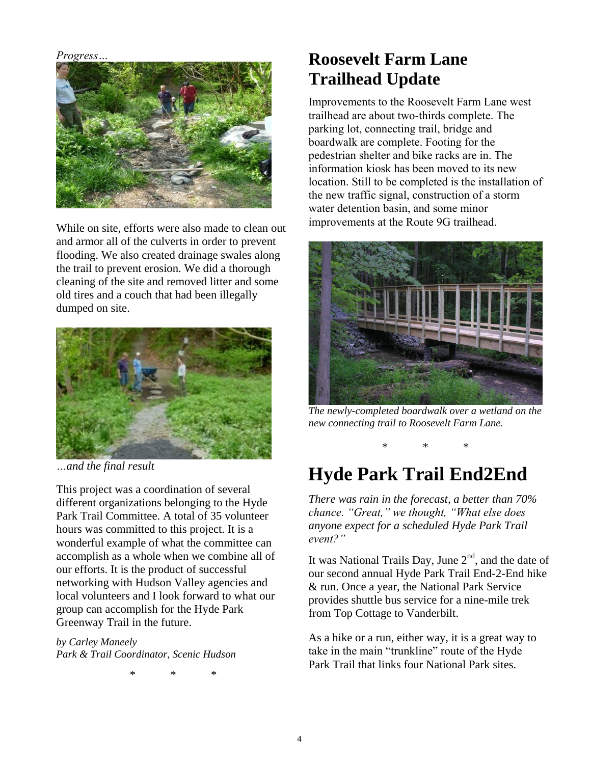*Progress…*



While on site, efforts were also made to clean out and armor all of the culverts in order to prevent flooding. We also created drainage swales along the trail to prevent erosion. We did a thorough cleaning of the site and removed litter and some old tires and a couch that had been illegally dumped on site.



*…and the final result*

This project was a coordination of several different organizations belonging to the Hyde Park Trail Committee. A total of 35 volunteer hours was committed to this project. It is a wonderful example of what the committee can accomplish as a whole when we combine all of our efforts. It is the product of successful networking with Hudson Valley agencies and local volunteers and I look forward to what our group can accomplish for the Hyde Park Greenway Trail in the future.

*by Carley Maneely Park & Trail Coordinator, Scenic Hudson*

\* \* \*

## **Roosevelt Farm Lane Trailhead Update**

Improvements to the Roosevelt Farm Lane west trailhead are about two-thirds complete. The parking lot, connecting trail, bridge and boardwalk are complete. Footing for the pedestrian shelter and bike racks are in. The information kiosk has been moved to its new location. Still to be completed is the installation of the new traffic signal, construction of a storm water detention basin, and some minor improvements at the Route 9G trailhead.



*The newly-completed boardwalk over a wetland on the new connecting trail to Roosevelt Farm Lane.*

\* \* \*

# **Hyde Park Trail End2End**

*There was rain in the forecast, a better than 70% chance. "Great," we thought, "What else does anyone expect for a scheduled Hyde Park Trail event?"*

It was National Trails Day, June  $2<sup>nd</sup>$ , and the date of our second annual Hyde Park Trail End-2-End hike & run. Once a year, the National Park Service provides shuttle bus service for a nine-mile trek from Top Cottage to Vanderbilt.

As a hike or a run, either way, it is a great way to take in the main "trunkline" route of the Hyde Park Trail that links four National Park sites.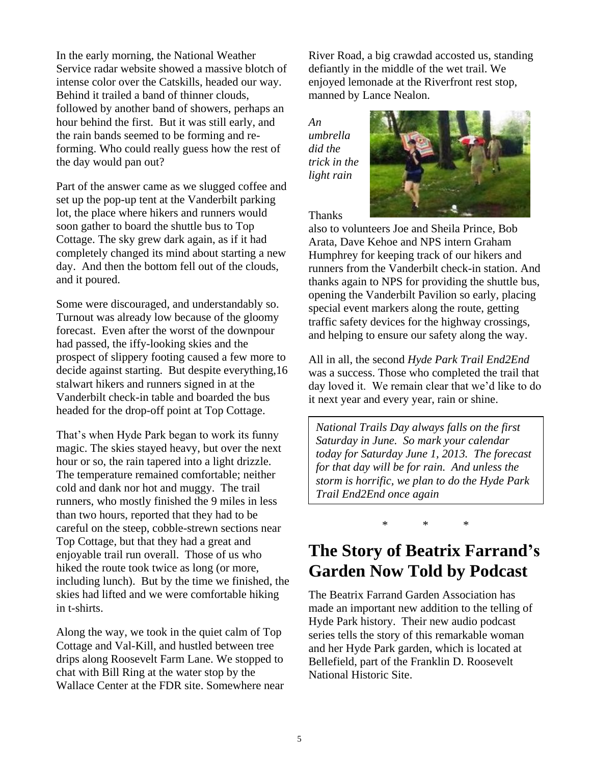In the early morning, the National Weather Service radar website showed a massive blotch of intense color over the Catskills, headed our way. Behind it trailed a band of thinner clouds, followed by another band of showers, perhaps an hour behind the first. But it was still early, and the rain bands seemed to be forming and reforming. Who could really guess how the rest of the day would pan out?

Part of the answer came as we slugged coffee and set up the pop-up tent at the Vanderbilt parking lot, the place where hikers and runners would soon gather to board the shuttle bus to Top Cottage. The sky grew dark again, as if it had completely changed its mind about starting a new day. And then the bottom fell out of the clouds, and it poured.

Some were discouraged, and understandably so. Turnout was already low because of the gloomy forecast. Even after the worst of the downpour had passed, the iffy-looking skies and the prospect of slippery footing caused a few more to decide against starting. But despite everything,16 stalwart hikers and runners signed in at the Vanderbilt check-in table and boarded the bus headed for the drop-off point at Top Cottage.

That's when Hyde Park began to work its funny magic. The skies stayed heavy, but over the next hour or so, the rain tapered into a light drizzle. The temperature remained comfortable; neither cold and dank nor hot and muggy. The trail runners, who mostly finished the 9 miles in less than two hours, reported that they had to be careful on the steep, cobble-strewn sections near Top Cottage, but that they had a great and enjoyable trail run overall. Those of us who hiked the route took twice as long (or more, including lunch). But by the time we finished, the skies had lifted and we were comfortable hiking in t-shirts.

Along the way, we took in the quiet calm of Top Cottage and Val-Kill, and hustled between tree drips along Roosevelt Farm Lane. We stopped to chat with Bill Ring at the water stop by the Wallace Center at the FDR site. Somewhere near River Road, a big crawdad accosted us, standing defiantly in the middle of the wet trail. We enjoyed lemonade at the Riverfront rest stop, manned by Lance Nealon.

*An umbrella did the trick in the light rain*



Thanks

also to volunteers Joe and Sheila Prince, Bob Arata, Dave Kehoe and NPS intern Graham Humphrey for keeping track of our hikers and runners from the Vanderbilt check-in station. And thanks again to NPS for providing the shuttle bus, opening the Vanderbilt Pavilion so early, placing special event markers along the route, getting traffic safety devices for the highway crossings, and helping to ensure our safety along the way.

All in all, the second *Hyde Park Trail End2End* was a success. Those who completed the trail that day loved it. We remain clear that we'd like to do it next year and every year, rain or shine.

*National Trails Day always falls on the first Saturday in June. So mark your calendar today for Saturday June 1, 2013. The forecast for that day will be for rain. And unless the storm is horrific, we plan to do the Hyde Park Trail End2End once again*

\* \* \*

## **The Story of Beatrix Farrand's Garden Now Told by Podcast**

The Beatrix Farrand Garden Association has made an important new addition to the telling of Hyde Park history. Their new audio podcast series tells the story of this remarkable woman and her Hyde Park garden, which is located at Bellefield, part of the Franklin D. Roosevelt National Historic Site.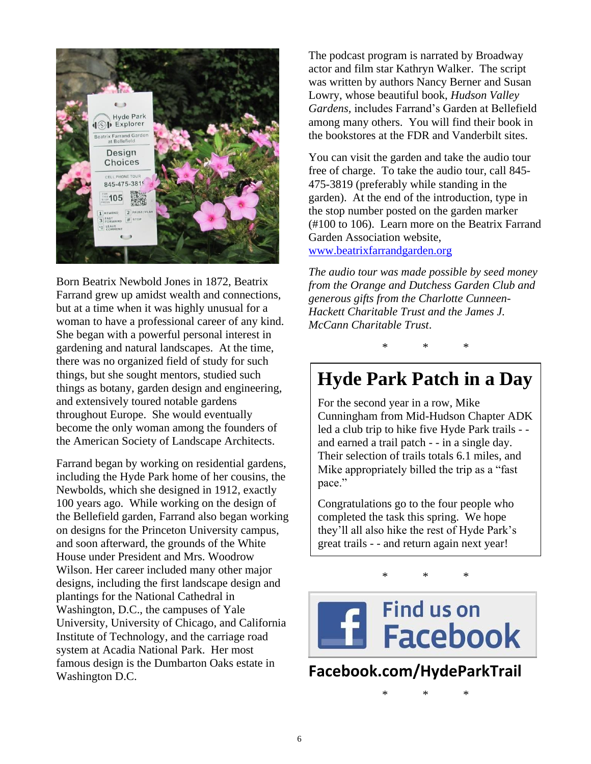

Born Beatrix Newbold Jones in 1872, Beatrix Farrand grew up amidst wealth and connections, but at a time when it was highly unusual for a woman to have a professional career of any kind. She began with a powerful personal interest in gardening and natural landscapes. At the time, there was no organized field of study for such things, but she sought mentors, studied such things as botany, garden design and engineering, and extensively toured notable gardens throughout Europe. She would eventually become the only woman among the founders of the American Society of Landscape Architects.

Farrand began by working on residential gardens, including the Hyde Park home of her cousins, the Newbolds, which she designed in 1912, exactly 100 years ago. While working on the design of the Bellefield garden, Farrand also began working on designs for the Princeton University campus, and soon afterward, the grounds of the White House under President and Mrs. Woodrow Wilson. Her career included many other major designs, including the first landscape design and plantings for the National Cathedral in Washington, D.C., the campuses of Yale University, University of Chicago, and California Institute of Technology, and the carriage road system at Acadia National Park. Her most famous design is the Dumbarton Oaks estate in Washington D.C.

The podcast program is narrated by Broadway actor and film star Kathryn Walker. The script was written by authors Nancy Berner and Susan Lowry, whose beautiful book, *Hudson Valley Gardens,* includes Farrand's Garden at Bellefield among many others. You will find their book in the bookstores at the FDR and Vanderbilt sites.

You can visit the garden and take the audio tour free of charge. To take the audio tour, call 845- 475-3819 (preferably while standing in the garden). At the end of the introduction, type in the stop number posted on the garden marker (#100 to 106). Learn more on the Beatrix Farrand Garden Association website,

[www.beatrixfarrandgarden.org](http://www.beatrixfarrandgarden.org/)

*The audio tour was made possible by seed money from the Orange and Dutchess Garden Club and generous gifts from the Charlotte Cunneen-Hackett Charitable Trust and the James J. McCann Charitable Trust*.

\* \* \*

# **Hyde Park Patch in a Day**

For the second year in a row, Mike Cunningham from Mid-Hudson Chapter ADK led a club trip to hike five Hyde Park trails - and earned a trail patch - - in a single day. Their selection of trails totals 6.1 miles, and Mike appropriately billed the trip as a "fast pace."

Congratulations go to the four people who completed the task this spring. We hope they'll all also hike the rest of Hyde Park's great trails - - and return again next year!

\* \* \*



#### **Facebook.com/HydeParkTrail**

\* \* \*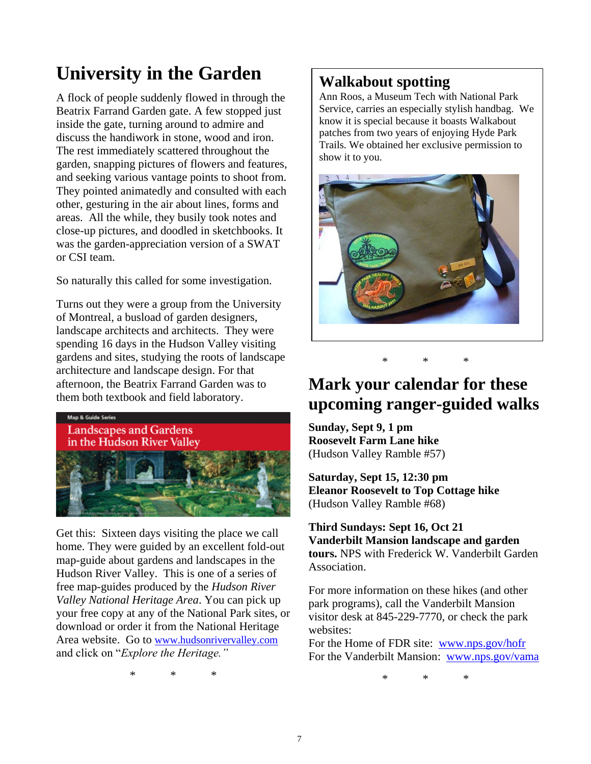# **University in the Garden**

A flock of people suddenly flowed in through the Beatrix Farrand Garden gate. A few stopped just inside the gate, turning around to admire and discuss the handiwork in stone, wood and iron. The rest immediately scattered throughout the garden, snapping pictures of flowers and features, and seeking various vantage points to shoot from. They pointed animatedly and consulted with each other, gesturing in the air about lines, forms and areas. All the while, they busily took notes and close-up pictures, and doodled in sketchbooks. It was the garden-appreciation version of a SWAT or CSI team.

So naturally this called for some investigation.

Turns out they were a group from the University of Montreal, a busload of garden designers, landscape architects and architects. They were spending 16 days in the Hudson Valley visiting gardens and sites, studying the roots of landscape architecture and landscape design. For that afternoon, the Beatrix Farrand Garden was to them both textbook and field laboratory.



Get this: Sixteen days visiting the place we call home. They were guided by an excellent fold-out map-guide about gardens and landscapes in the Hudson River Valley. This is one of a series of free map-guides produced by the *Hudson River Valley National Heritage Area*. You can pick up your free copy at any of the National Park sites, or download or order it from the National Heritage Area website. Go to [www.hudsonrivervalley.com](http://www.hudsonrivervalley.com/) and click on "*Explore the Heritage."*

\* \* \*

#### **Walkabout spotting**

Ann Roos, a Museum Tech with National Park Service, carries an especially stylish handbag. We know it is special because it boasts Walkabout patches from two years of enjoying Hyde Park Trails. We obtained her exclusive permission to show it to you.



## **Mark your calendar for these upcoming ranger-guided walks**

\* \* \*

**Sunday, Sept 9, 1 pm Roosevelt Farm Lane hike**  (Hudson Valley Ramble #57)

**Saturday, Sept 15, 12:30 pm Eleanor Roosevelt to Top Cottage hike**  (Hudson Valley Ramble #68)

**Third Sundays: Sept 16, Oct 21 Vanderbilt Mansion landscape and garden tours.** NPS with Frederick W. Vanderbilt Garden Association.

For more information on these hikes (and other park programs), call the Vanderbilt Mansion visitor desk at 845-229-7770, or check the park websites:

For the Home of FDR site: [www.nps.gov/hofr](http://www.nps.gov/hofr) For the Vanderbilt Mansion: [www.nps.gov/vama](http://www.nps.gov/vama)

\* \* \*